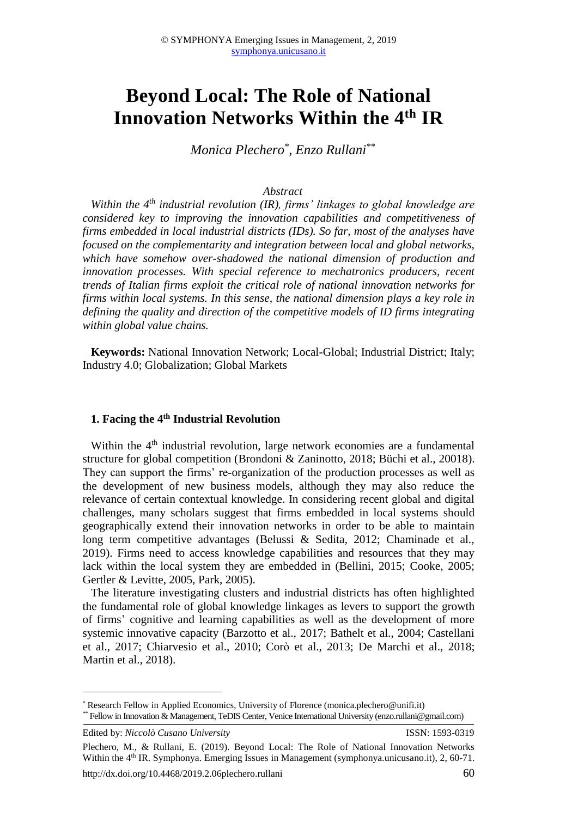# **Beyond Local: The Role of National Innovation Networks Within the 4th IR**

*Monica Plechero\* , Enzo Rullani\*\**

#### *Abstract*

*Within the 4th industrial revolution (IR), firms' linkages to global knowledge are considered key to improving the innovation capabilities and competitiveness of firms embedded in local industrial districts (IDs). So far, most of the analyses have focused on the complementarity and integration between local and global networks, which have somehow over-shadowed the national dimension of production and innovation processes. With special reference to mechatronics producers, recent trends of Italian firms exploit the critical role of national innovation networks for firms within local systems. In this sense, the national dimension plays a key role in defining the quality and direction of the competitive models of ID firms integrating within global value chains.*

**Keywords:** National Innovation Network; Local-Global; Industrial District; Italy; Industry 4.0; Globalization; Global Markets

#### **1. Facing the 4th Industrial Revolution**

Within the  $4<sup>th</sup>$  industrial revolution, large network economies are a fundamental structure for global competition (Brondoni & Zaninotto, 2018; Büchi et al., 20018). They can support the firms' re-organization of the production processes as well as the development of new business models, although they may also reduce the relevance of certain contextual knowledge. In considering recent global and digital challenges, many scholars suggest that firms embedded in local systems should geographically extend their innovation networks in order to be able to maintain long term competitive advantages (Belussi & Sedita, 2012; Chaminade et al., 2019). Firms need to access knowledge capabilities and resources that they may lack within the local system they are embedded in (Bellini, 2015; Cooke, 2005; Gertler & Levitte, 2005, Park, 2005).

The literature investigating clusters and industrial districts has often highlighted the fundamental role of global knowledge linkages as levers to support the growth of firms' cognitive and learning capabilities as well as the development of more systemic innovative capacity (Barzotto et al., 2017; Bathelt et al., 2004; Castellani et al., 2017; Chiarvesio et al., 2010; Corò et al., 2013; De Marchi et al., 2018; Martin et al., 2018).

**.** 

<sup>\*</sup> Research Fellow in Applied Economics, University of Florence (monica.plechero@unifi.it) \*\* Fellow in Innovation & Management, TeDIS Center, Venice International University (enzo.rullani@gmail.com)

Edited by: *Niccolò Cusano University* ISSN: 1593-0319

Plechero, M., & Rullani, E. (2019). Beyond Local: The Role of National Innovation Networks Within the 4<sup>th</sup> IR. Symphonya. Emerging Issues in Management (symphonya.unicusano.it), 2, 60-71.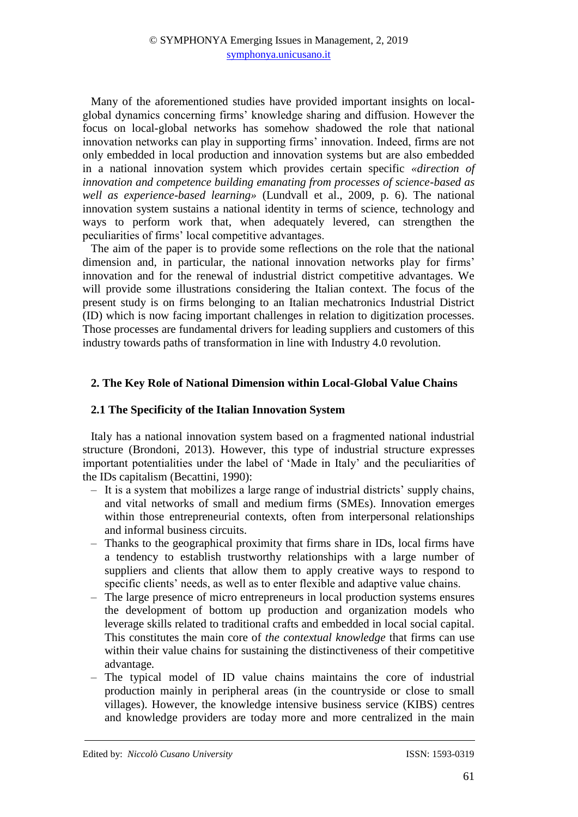Many of the aforementioned studies have provided important insights on localglobal dynamics concerning firms' knowledge sharing and diffusion. However the focus on local-global networks has somehow shadowed the role that national innovation networks can play in supporting firms' innovation. Indeed, firms are not only embedded in local production and innovation systems but are also embedded in a national innovation system which provides certain specific *«direction of innovation and competence building emanating from processes of science-based as well as experience-based learning»* (Lundvall et al., 2009, p. 6). The national innovation system sustains a national identity in terms of science, technology and ways to perform work that, when adequately levered, can strengthen the peculiarities of firms' local competitive advantages.

The aim of the paper is to provide some reflections on the role that the national dimension and, in particular, the national innovation networks play for firms' innovation and for the renewal of industrial district competitive advantages. We will provide some illustrations considering the Italian context. The focus of the present study is on firms belonging to an Italian mechatronics Industrial District (ID) which is now facing important challenges in relation to digitization processes. Those processes are fundamental drivers for leading suppliers and customers of this industry towards paths of transformation in line with Industry 4.0 revolution.

# **2. The Key Role of National Dimension within Local-Global Value Chains**

### **2.1 The Specificity of the Italian Innovation System**

Italy has a national innovation system based on a fragmented national industrial structure (Brondoni, 2013). However, this type of industrial structure expresses important potentialities under the label of 'Made in Italy' and the peculiarities of the IDs capitalism (Becattini, 1990):

- ‒ It is a system that mobilizes a large range of industrial districts' supply chains, and vital networks of small and medium firms (SMEs). Innovation emerges within those entrepreneurial contexts, often from interpersonal relationships and informal business circuits.
- ‒ Thanks to the geographical proximity that firms share in IDs, local firms have a tendency to establish trustworthy relationships with a large number of suppliers and clients that allow them to apply creative ways to respond to specific clients' needs, as well as to enter flexible and adaptive value chains.
- ‒ The large presence of micro entrepreneurs in local production systems ensures the development of bottom up production and organization models who leverage skills related to traditional crafts and embedded in local social capital. This constitutes the main core of *the contextual knowledge* that firms can use within their value chains for sustaining the distinctiveness of their competitive advantage*.*
- ‒ The typical model of ID value chains maintains the core of industrial production mainly in peripheral areas (in the countryside or close to small villages). However, the knowledge intensive business service (KIBS) centres and knowledge providers are today more and more centralized in the main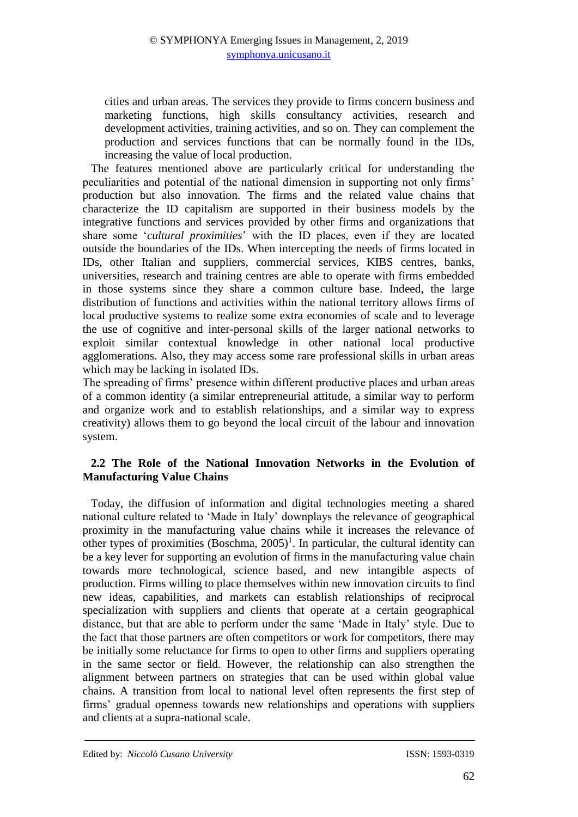cities and urban areas. The services they provide to firms concern business and marketing functions, high skills consultancy activities, research and development activities, training activities, and so on. They can complement the production and services functions that can be normally found in the IDs, increasing the value of local production.

The features mentioned above are particularly critical for understanding the peculiarities and potential of the national dimension in supporting not only firms' production but also innovation. The firms and the related value chains that characterize the ID capitalism are supported in their business models by the integrative functions and services provided by other firms and organizations that share some '*cultural proximities*' with the ID places, even if they are located outside the boundaries of the IDs. When intercepting the needs of firms located in IDs, other Italian and suppliers, commercial services, KIBS centres, banks, universities, research and training centres are able to operate with firms embedded in those systems since they share a common culture base. Indeed, the large distribution of functions and activities within the national territory allows firms of local productive systems to realize some extra economies of scale and to leverage the use of cognitive and inter-personal skills of the larger national networks to exploit similar contextual knowledge in other national local productive agglomerations. Also, they may access some rare professional skills in urban areas which may be lacking in isolated IDs.

The spreading of firms' presence within different productive places and urban areas of a common identity (a similar entrepreneurial attitude, a similar way to perform and organize work and to establish relationships, and a similar way to express creativity) allows them to go beyond the local circuit of the labour and innovation system.

# **2.2 The Role of the National Innovation Networks in the Evolution of Manufacturing Value Chains**

Today, the diffusion of information and digital technologies meeting a shared national culture related to 'Made in Italy' downplays the relevance of geographical proximity in the manufacturing value chains while it increases the relevance of other types of proximities  $(Boschma, 2005)^1$ . In particular, the cultural identity can be a key lever for supporting an evolution of firms in the manufacturing value chain towards more technological, science based, and new intangible aspects of production. Firms willing to place themselves within new innovation circuits to find new ideas, capabilities, and markets can establish relationships of reciprocal specialization with suppliers and clients that operate at a certain geographical distance, but that are able to perform under the same 'Made in Italy' style. Due to the fact that those partners are often competitors or work for competitors, there may be initially some reluctance for firms to open to other firms and suppliers operating in the same sector or field. However, the relationship can also strengthen the alignment between partners on strategies that can be used within global value chains. A transition from local to national level often represents the first step of firms' gradual openness towards new relationships and operations with suppliers and clients at a supra-national scale.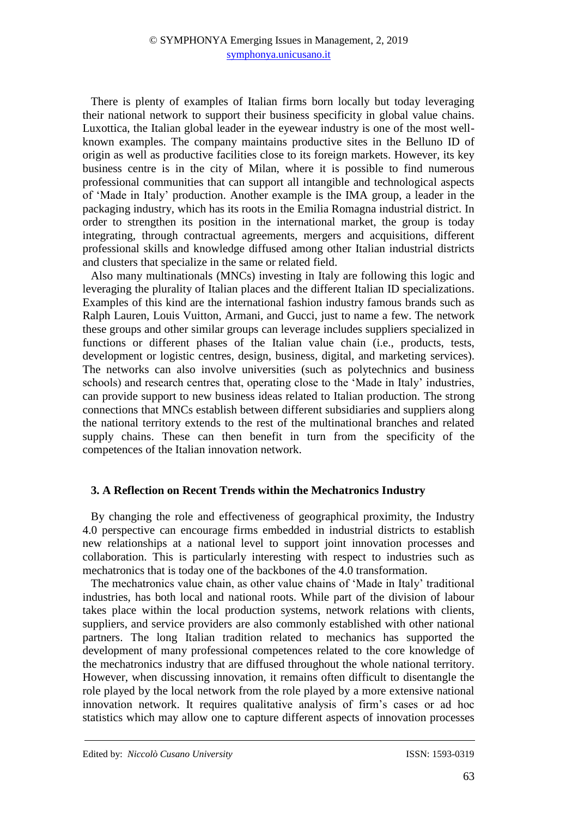There is plenty of examples of Italian firms born locally but today leveraging their national network to support their business specificity in global value chains. Luxottica, the Italian global leader in the eyewear industry is one of the most wellknown examples. The company maintains productive sites in the Belluno ID of origin as well as productive facilities close to its foreign markets. However, its key business centre is in the city of Milan, where it is possible to find numerous professional communities that can support all intangible and technological aspects of 'Made in Italy' production. Another example is the IMA group, a leader in the packaging industry, which has its roots in the Emilia Romagna industrial district. In order to strengthen its position in the international market, the group is today integrating, through contractual agreements, mergers and acquisitions, different professional skills and knowledge diffused among other Italian industrial districts and clusters that specialize in the same or related field.

Also many multinationals (MNCs) investing in Italy are following this logic and leveraging the plurality of Italian places and the different Italian ID specializations. Examples of this kind are the international fashion industry famous brands such as Ralph Lauren, Louis Vuitton, Armani, and Gucci, just to name a few. The network these groups and other similar groups can leverage includes suppliers specialized in functions or different phases of the Italian value chain (i.e., products, tests, development or logistic centres, design, business, digital, and marketing services). The networks can also involve universities (such as polytechnics and business schools) and research centres that, operating close to the 'Made in Italy' industries, can provide support to new business ideas related to Italian production. The strong connections that MNCs establish between different subsidiaries and suppliers along the national territory extends to the rest of the multinational branches and related supply chains. These can then benefit in turn from the specificity of the competences of the Italian innovation network.

# **3. A Reflection on Recent Trends within the Mechatronics Industry**

By changing the role and effectiveness of geographical proximity, the Industry 4.0 perspective can encourage firms embedded in industrial districts to establish new relationships at a national level to support joint innovation processes and collaboration. This is particularly interesting with respect to industries such as mechatronics that is today one of the backbones of the 4.0 transformation.

The mechatronics value chain, as other value chains of 'Made in Italy' traditional industries, has both local and national roots. While part of the division of labour takes place within the local production systems, network relations with clients, suppliers, and service providers are also commonly established with other national partners. The long Italian tradition related to mechanics has supported the development of many professional competences related to the core knowledge of the mechatronics industry that are diffused throughout the whole national territory. However, when discussing innovation, it remains often difficult to disentangle the role played by the local network from the role played by a more extensive national innovation network. It requires qualitative analysis of firm's cases or ad hoc statistics which may allow one to capture different aspects of innovation processes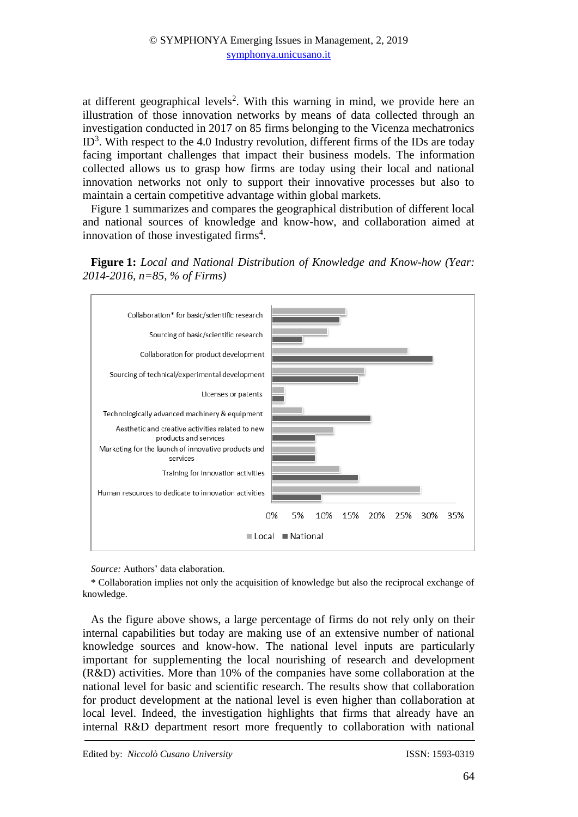at different geographical levels<sup>2</sup>. With this warning in mind, we provide here an illustration of those innovation networks by means of data collected through an investigation conducted in 2017 on 85 firms belonging to the Vicenza mechatronics  $ID<sup>3</sup>$ . With respect to the 4.0 Industry revolution, different firms of the IDs are today facing important challenges that impact their business models. The information collected allows us to grasp how firms are today using their local and national innovation networks not only to support their innovative processes but also to maintain a certain competitive advantage within global markets.

Figure 1 summarizes and compares the geographical distribution of different local and national sources of knowledge and know-how, and collaboration aimed at innovation of those investigated firms<sup>4</sup>.





*Source:* Authors' data elaboration.

\* Collaboration implies not only the acquisition of knowledge but also the reciprocal exchange of knowledge.

As the figure above shows, a large percentage of firms do not rely only on their internal capabilities but today are making use of an extensive number of national knowledge sources and know-how. The national level inputs are particularly important for supplementing the local nourishing of research and development (R&D) activities. More than 10% of the companies have some collaboration at the national level for basic and scientific research. The results show that collaboration for product development at the national level is even higher than collaboration at local level. Indeed, the investigation highlights that firms that already have an internal R&D department resort more frequently to collaboration with national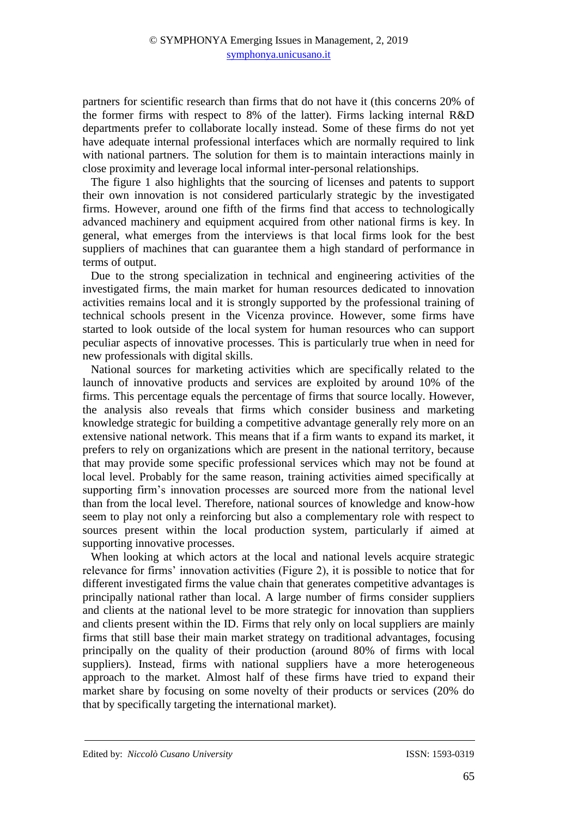partners for scientific research than firms that do not have it (this concerns 20% of the former firms with respect to 8% of the latter). Firms lacking internal R&D departments prefer to collaborate locally instead. Some of these firms do not yet have adequate internal professional interfaces which are normally required to link with national partners. The solution for them is to maintain interactions mainly in close proximity and leverage local informal inter-personal relationships.

The figure 1 also highlights that the sourcing of licenses and patents to support their own innovation is not considered particularly strategic by the investigated firms. However, around one fifth of the firms find that access to technologically advanced machinery and equipment acquired from other national firms is key. In general, what emerges from the interviews is that local firms look for the best suppliers of machines that can guarantee them a high standard of performance in terms of output.

Due to the strong specialization in technical and engineering activities of the investigated firms, the main market for human resources dedicated to innovation activities remains local and it is strongly supported by the professional training of technical schools present in the Vicenza province. However, some firms have started to look outside of the local system for human resources who can support peculiar aspects of innovative processes. This is particularly true when in need for new professionals with digital skills.

National sources for marketing activities which are specifically related to the launch of innovative products and services are exploited by around 10% of the firms. This percentage equals the percentage of firms that source locally. However, the analysis also reveals that firms which consider business and marketing knowledge strategic for building a competitive advantage generally rely more on an extensive national network. This means that if a firm wants to expand its market, it prefers to rely on organizations which are present in the national territory, because that may provide some specific professional services which may not be found at local level. Probably for the same reason, training activities aimed specifically at supporting firm's innovation processes are sourced more from the national level than from the local level. Therefore, national sources of knowledge and know-how seem to play not only a reinforcing but also a complementary role with respect to sources present within the local production system, particularly if aimed at supporting innovative processes.

When looking at which actors at the local and national levels acquire strategic relevance for firms' innovation activities (Figure 2), it is possible to notice that for different investigated firms the value chain that generates competitive advantages is principally national rather than local. A large number of firms consider suppliers and clients at the national level to be more strategic for innovation than suppliers and clients present within the ID. Firms that rely only on local suppliers are mainly firms that still base their main market strategy on traditional advantages, focusing principally on the quality of their production (around 80% of firms with local suppliers). Instead, firms with national suppliers have a more heterogeneous approach to the market. Almost half of these firms have tried to expand their market share by focusing on some novelty of their products or services (20% do that by specifically targeting the international market).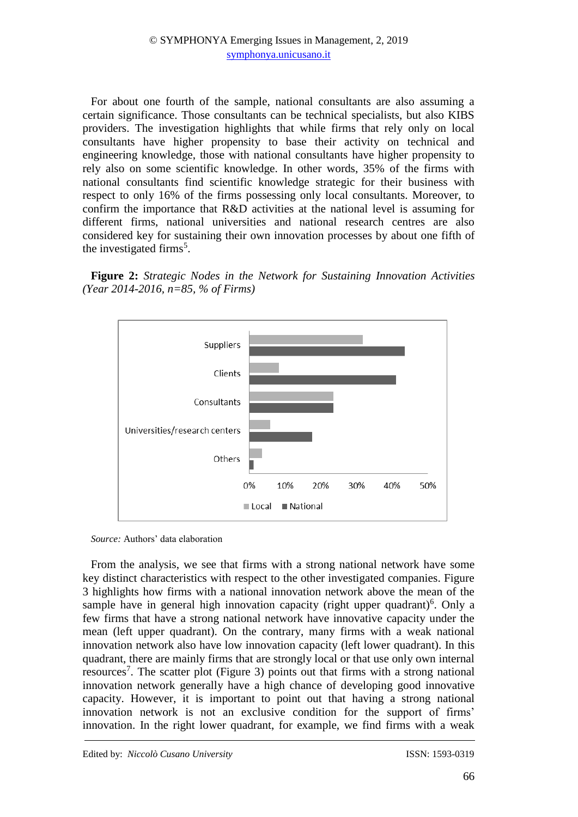For about one fourth of the sample, national consultants are also assuming a certain significance. Those consultants can be technical specialists, but also KIBS providers. The investigation highlights that while firms that rely only on local consultants have higher propensity to base their activity on technical and engineering knowledge, those with national consultants have higher propensity to rely also on some scientific knowledge. In other words, 35% of the firms with national consultants find scientific knowledge strategic for their business with respect to only 16% of the firms possessing only local consultants. Moreover, to confirm the importance that R&D activities at the national level is assuming for different firms, national universities and national research centres are also considered key for sustaining their own innovation processes by about one fifth of the investigated firms<sup>5</sup>.

**Figure 2:** *Strategic Nodes in the Network for Sustaining Innovation Activities (Year 2014-2016, n=85, % of Firms)*



*Source:* Authors' data elaboration

From the analysis, we see that firms with a strong national network have some key distinct characteristics with respect to the other investigated companies. Figure 3 highlights how firms with a national innovation network above the mean of the sample have in general high innovation capacity (right upper quadrant)<sup>6</sup>. Only a few firms that have a strong national network have innovative capacity under the mean (left upper quadrant). On the contrary, many firms with a weak national innovation network also have low innovation capacity (left lower quadrant). In this quadrant, there are mainly firms that are strongly local or that use only own internal resources<sup>7</sup>. The scatter plot (Figure 3) points out that firms with a strong national innovation network generally have a high chance of developing good innovative capacity. However, it is important to point out that having a strong national innovation network is not an exclusive condition for the support of firms' innovation. In the right lower quadrant, for example, we find firms with a weak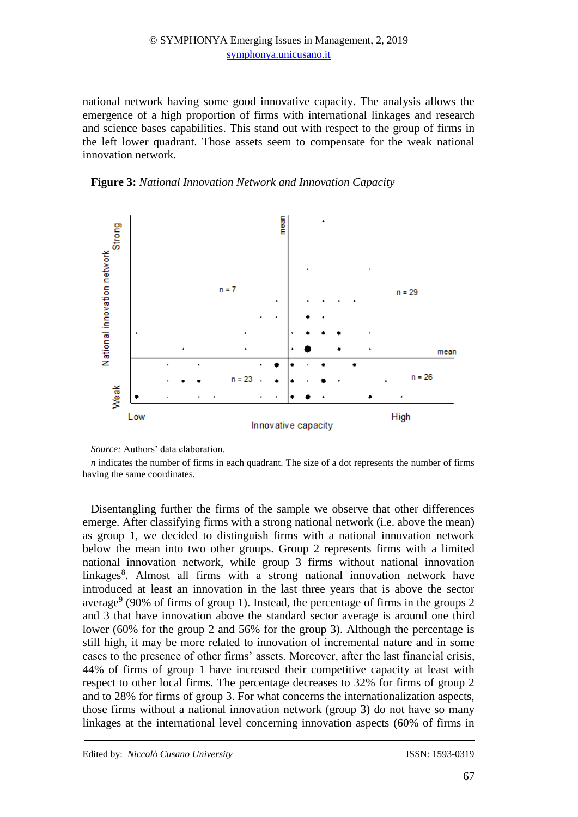## © SYMPHONYA Emerging Issues in Management, 2, 2019 [symphonya.unicusano.it](http://symphonya.unimib.it/)

national network having some good innovative capacity. The analysis allows the emergence of a high proportion of firms with international linkages and research and science bases capabilities. This stand out with respect to the group of firms in the left lower quadrant. Those assets seem to compensate for the weak national innovation network.





*Source:* Authors' data elaboration.

*n* indicates the number of firms in each quadrant. The size of a dot represents the number of firms having the same coordinates.

Disentangling further the firms of the sample we observe that other differences emerge. After classifying firms with a strong national network (i.e. above the mean) as group 1, we decided to distinguish firms with a national innovation network below the mean into two other groups. Group 2 represents firms with a limited national innovation network, while group 3 firms without national innovation linkages<sup>8</sup>. Almost all firms with a strong national innovation network have introduced at least an innovation in the last three years that is above the sector average<sup>9</sup> (90% of firms of group 1). Instead, the percentage of firms in the groups 2 and 3 that have innovation above the standard sector average is around one third lower (60% for the group 2 and 56% for the group 3). Although the percentage is still high, it may be more related to innovation of incremental nature and in some cases to the presence of other firms' assets. Moreover, after the last financial crisis, 44% of firms of group 1 have increased their competitive capacity at least with respect to other local firms. The percentage decreases to 32% for firms of group 2 and to 28% for firms of group 3. For what concerns the internationalization aspects, those firms without a national innovation network (group 3) do not have so many linkages at the international level concerning innovation aspects (60% of firms in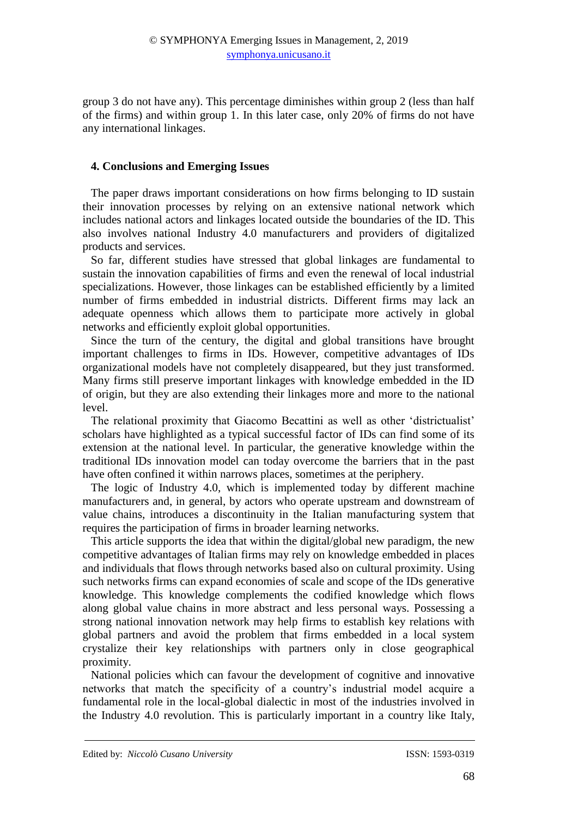group 3 do not have any). This percentage diminishes within group 2 (less than half of the firms) and within group 1. In this later case, only 20% of firms do not have any international linkages.

# **4. Conclusions and Emerging Issues**

The paper draws important considerations on how firms belonging to ID sustain their innovation processes by relying on an extensive national network which includes national actors and linkages located outside the boundaries of the ID. This also involves national Industry 4.0 manufacturers and providers of digitalized products and services.

So far, different studies have stressed that global linkages are fundamental to sustain the innovation capabilities of firms and even the renewal of local industrial specializations. However, those linkages can be established efficiently by a limited number of firms embedded in industrial districts. Different firms may lack an adequate openness which allows them to participate more actively in global networks and efficiently exploit global opportunities.

Since the turn of the century, the digital and global transitions have brought important challenges to firms in IDs. However, competitive advantages of IDs organizational models have not completely disappeared, but they just transformed. Many firms still preserve important linkages with knowledge embedded in the ID of origin, but they are also extending their linkages more and more to the national level.

The relational proximity that Giacomo Becattini as well as other 'districtualist' scholars have highlighted as a typical successful factor of IDs can find some of its extension at the national level. In particular, the generative knowledge within the traditional IDs innovation model can today overcome the barriers that in the past have often confined it within narrows places, sometimes at the periphery.

The logic of Industry 4.0, which is implemented today by different machine manufacturers and, in general, by actors who operate upstream and downstream of value chains, introduces a discontinuity in the Italian manufacturing system that requires the participation of firms in broader learning networks.

This article supports the idea that within the digital/global new paradigm, the new competitive advantages of Italian firms may rely on knowledge embedded in places and individuals that flows through networks based also on cultural proximity. Using such networks firms can expand economies of scale and scope of the IDs generative knowledge. This knowledge complements the codified knowledge which flows along global value chains in more abstract and less personal ways. Possessing a strong national innovation network may help firms to establish key relations with global partners and avoid the problem that firms embedded in a local system crystalize their key relationships with partners only in close geographical proximity.

National policies which can favour the development of cognitive and innovative networks that match the specificity of a country's industrial model acquire a fundamental role in the local-global dialectic in most of the industries involved in the Industry 4.0 revolution. This is particularly important in a country like Italy,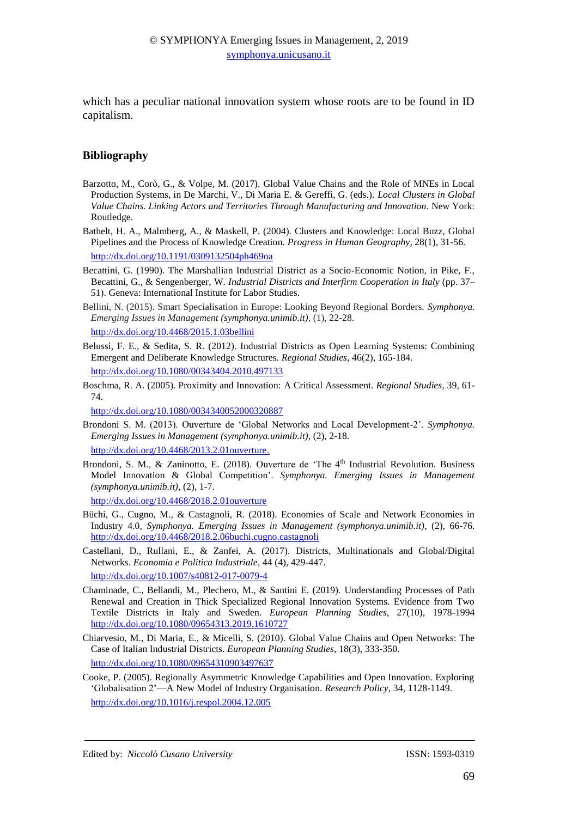which has a peculiar national innovation system whose roots are to be found in ID capitalism.

#### **Bibliography**

- Barzotto, M., Corò, G., & Volpe, M. (2017). Global Value Chains and the Role of MNEs in Local Production Systems, in De Marchi, V., Di Maria E. & Gereffi, G. (eds.). *Local Clusters in Global Value Chains. Linking Actors and Territories Through Manufacturing and Innovation*. New York: Routledge.
- Bathelt, H. A., Malmberg, A., & Maskell, P. (2004). Clusters and Knowledge: Local Buzz, Global Pipelines and the Process of Knowledge Creation. *Progress in Human Geography*, 28(1), 31-56. [http://dx.doi.org/10.1191/0309132504ph469oa](file:///H:/Editorial%20Boards%20&%20Reviewer/Symphonya%20-%20attività%20come%20referee/EDITORIAL%20CONTROL/10.1191/0309132504ph469oa)
- Becattini, G. (1990). The Marshallian Industrial District as a Socio-Economic Notion, in Pike, F., Becattini, G., & Sengenberger, W*. Industrial Districts and Interfirm Cooperation in Italy* (pp. 37– 51). Geneva: International Institute for Labor Studies.
- Bellini, N. (2015). Smart Specialisation in Europe: Looking Beyond Regional Borders. *Symphonya. Emerging Issues in Management (symphonya.unimib.it)*, (1), 22-28. <http://dx.doi.org/10.4468/2015.1.03bellini>
- Belussi, F. E., & Sedita, S. R. (2012). Industrial Districts as Open Learning Systems: Combining Emergent and Deliberate Knowledge Structures. *Regional Studies*, 46(2), 165-184. [http://dx.doi.org/10.1080/00343404.2010.497133](https://doi.org/10.1080/00343404.2010.497133)
- Boschma, R. A. (2005). Proximity and Innovation: A Critical Assessment. *Regional Studies,* 39, 61- 74.

[http://dx.doi.org/10.1080/0034340052000320887](https://doi.org/10.1080/0034340052000320887)

- Brondoni S. M. (2013). Ouverture de 'Global Networks and Local Development-2'. *Symphonya. Emerging Issues in Management (symphonya.unimib.it)*, (2), 2-18. [http://dx.doi.org/10.4468/2013.2.01ouverture.](http://dx.doi.org/10.4468/2013.2.01ouverture)
- Brondoni, S. M., & Zaninotto, E. (2018). Ouverture de 'The 4<sup>th</sup> Industrial Revolution. Business Model Innovation & Global Competition'. *Symphonya. Emerging Issues in Management (symphonya.unimib.it)*, (2), 1-7.

<http://dx.doi.org/10.4468/2018.2.01ouverture>

- Büchi, G., Cugno, M., & Castagnoli, R. (2018). Economies of Scale and Network Economies in Industry 4.0, *Symphonya. Emerging Issues in Management (symphonya.unimib.it)*, (2), 66-76. <http://dx.doi.org/10.4468/2018.2.06buchi.cugno.castagnoli>
- Castellani, D., Rullani, E., & Zanfei, A. (2017). Districts, Multinationals and Global/Digital Networks. *Economia e Politica Industriale*, 44 (4), 429-447.

[http://dx.doi.org/10.1007/s40812-017-0079-4](https://doi.org/10.1007/s40812-017-0079-4)

- Chaminade, C., Bellandi, M., Plechero, M., & Santini E. (2019). Understanding Processes of Path Renewal and Creation in Thick Specialized Regional Innovation Systems. Evidence from Two Textile Districts in Italy and Sweden. *European Planning Studies*, 27(10), 1978-1994 [http://dx.doi.org/10.1080/09654313.2019.1610727](https://doi.org/10.1080/09654313.2019.1610727)
- Chiarvesio, M., Di Maria, E., & Micelli, S. (2010). Global Value Chains and Open Networks: The Case of Italian Industrial Districts. *European Planning Studies*, 18(3), 333-350. [http://dx.doi.org/10.1080/09654310903497637](https://doi.org/10.1080/09654310903497637)
- Cooke, P. (2005). Regionally Asymmetric Knowledge Capabilities and Open Innovation. Exploring 'Globalisation 2'—A New Model of Industry Organisation. *Research Policy*, 34, 1128-1149. [http://dx.doi.org/10.1016/j.respol.2004.12.005](https://doi.org/10.1016/j.respol.2004.12.005)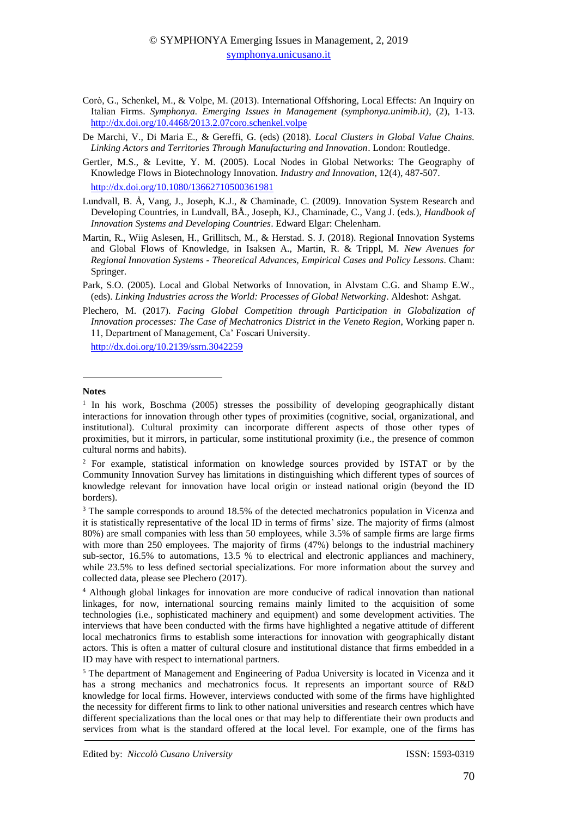- Corò, G., Schenkel, M., & Volpe, M. (2013). International Offshoring, Local Effects: An Inquiry on Italian Firms. *Symphonya. Emerging Issues in Management (symphonya.unimib.it)*, (2), 1-13. <http://dx.doi.org/10.4468/2013.2.07coro.schenkel.volpe>
- De Marchi, V., Di Maria E., & Gereffi, G. (eds) (2018). *Local Clusters in Global Value Chains. Linking Actors and Territories Through Manufacturing and Innovation*. London: Routledge.
- Gertler, M.S., & Levitte, Y. M. (2005). Local Nodes in Global Networks: The Geography of Knowledge Flows in Biotechnology Innovation. *Industry and Innovation*, 12(4), 487-507. [http://dx.doi.org/10.1080/13662710500361981](https://doi.org/10.1080/13662710500361981)
- Lundvall, B. Å, Vang, J., Joseph, K.J., & Chaminade, C. (2009). Innovation System Research and Developing Countries, in Lundvall, BÅ., Joseph, KJ., Chaminade, C., Vang J. (eds.), *Handbook of Innovation Systems and Developing Countries*. Edward Elgar: Chelenham.
- Martin, R., Wiig Aslesen, H., Grillitsch, M., & Herstad. S. J. (2018). Regional Innovation Systems and Global Flows of Knowledge, in Isaksen A., Martin, R. & Trippl, M. *New Avenues for Regional Innovation Systems - Theoretical Advances, Empirical Cases and Policy Lessons*. Cham: Springer.
- Park, S.O. (2005). Local and Global Networks of Innovation, in Alvstam C.G. and Shamp E.W., (eds). *Linking Industries across the World: Processes of Global Networking*. Aldeshot: Ashgat.
- Plechero, M. (2017). *Facing Global Competition through Participation in Globalization of Innovation processes: The Case of Mechatronics District in the Veneto Region*, Working paper n. 11, Department of Management, Ca' Foscari University.

[http://dx.doi.org/10.2139/ssrn.3042259](https://dx.doi.org/10.2139/ssrn.3042259) 

#### **Notes**

**.** 

<sup>&</sup>lt;sup>1</sup> In his work, Boschma (2005) stresses the possibility of developing geographically distant interactions for innovation through other types of proximities (cognitive, social, organizational, and institutional). Cultural proximity can incorporate different aspects of those other types of proximities, but it mirrors, in particular, some institutional proximity (i.e., the presence of common cultural norms and habits).

<sup>2</sup> For example, statistical information on knowledge sources provided by ISTAT or by the Community Innovation Survey has limitations in distinguishing which different types of sources of knowledge relevant for innovation have local origin or instead national origin (beyond the ID borders).

<sup>&</sup>lt;sup>3</sup> The sample corresponds to around 18.5% of the detected mechatronics population in Vicenza and it is statistically representative of the local ID in terms of firms' size. The majority of firms (almost 80%) are small companies with less than 50 employees, while 3.5% of sample firms are large firms with more than 250 employees. The majority of firms (47%) belongs to the industrial machinery sub-sector, 16.5% to automations, 13.5 % to electrical and electronic appliances and machinery, while 23.5% to less defined sectorial specializations. For more information about the survey and collected data, please see Plechero (2017).

<sup>4</sup> Although global linkages for innovation are more conducive of radical innovation than national linkages, for now, international sourcing remains mainly limited to the acquisition of some technologies (i.e., sophisticated machinery and equipment) and some development activities. The interviews that have been conducted with the firms have highlighted a negative attitude of different local mechatronics firms to establish some interactions for innovation with geographically distant actors. This is often a matter of cultural closure and institutional distance that firms embedded in a ID may have with respect to international partners.

<sup>5</sup> The department of Management and Engineering of Padua University is located in Vicenza and it has a strong mechanics and mechatronics focus. It represents an important source of R&D knowledge for local firms. However, interviews conducted with some of the firms have highlighted the necessity for different firms to link to other national universities and research centres which have different specializations than the local ones or that may help to differentiate their own products and services from what is the standard offered at the local level. For example, one of the firms has